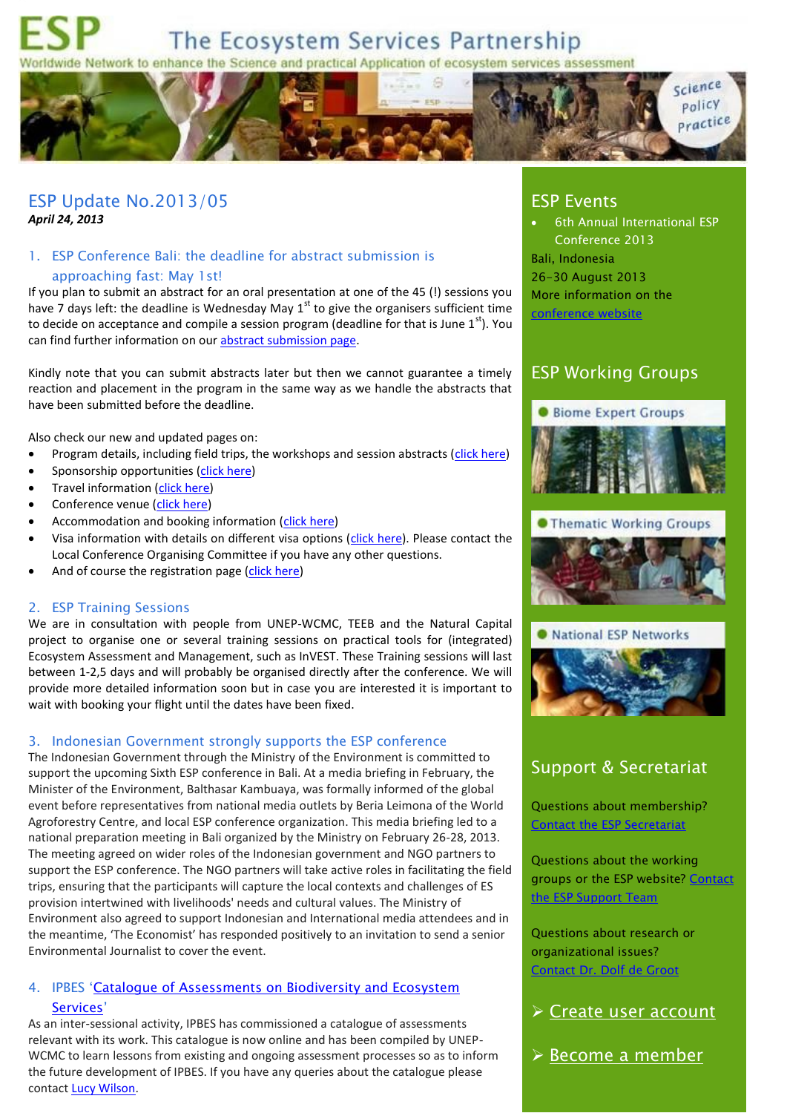

ESP Update No.2013/05 *April 24, 2013*

### 1. ESP Conference Bali: the deadline for abstract submission is approaching fast: May 1st!

If you plan to submit an abstract for an oral presentation at one of the 45 (!) sessions you have 7 days left: the deadline is Wednesday May  $1<sup>st</sup>$  to give the organisers sufficient time to decide on acceptance and compile a session program (deadline for that is June  $1<sup>st</sup>$ ). You can find further information on ou[r abstract submission page.](http://www.espconference.org/ESP_Conference/80596/5/0/60)

Kindly note that you can submit abstracts later but then we cannot guarantee a timely reaction and placement in the program in the same way as we handle the abstracts that have been submitted before the deadline.

Also check our new and updated pages on:

- Program details, including field trips, the workshops and session abstracts [\(click here\)](http://www.espconference.org/ESP_Conference/80784/5/0/60)
- Sponsorship opportunities [\(click here\)](http://www.espconference.org/ESP_Conference/80637/5/0/60)
- Travel information [\(click here\)](http://www.espconference.org/ESP_Conference/80823/5/0/60)
- Conference venue [\(click here\)](http://www.espconference.org/ESP_Conference/80638/5/0/60)
- Accommodation and booking information [\(click here\)](http://www.espconference.org/ESP_Conference/80639/5/0/60)
- Visa information with details on different visa options [\(click here\)](http://www.espconference.org/ESP_Conference/80846/5/0/60). Please contact the Local Conference Organising Committee if you have any other questions.
- And of course the registration page [\(click here\)](http://espconference.org/ESP_Conference/80552/5/0/60)

#### 2. ESP Training Sessions

We are in consultation with people from UNEP-WCMC, TEEB and the Natural Capital project to organise one or several training sessions on practical tools for (integrated) Ecosystem Assessment and Management, such as InVEST. These Training sessions will last between 1-2,5 days and will probably be organised directly after the conference. We will provide more detailed information soon but in case you are interested it is important to wait with booking your flight until the dates have been fixed.

#### 3. Indonesian Government strongly supports the ESP conference

The Indonesian Government through the Ministry of the Environment is committed to support the upcoming Sixth ESP conference in Bali. At a media briefing in February, the Minister of the Environment, Balthasar Kambuaya, was formally informed of the global event before representatives from national media outlets by Beria Leimona of the World Agroforestry Centre, and local ESP conference organization. This media briefing led to a national preparation meeting in Bali organized by the Ministry on February 26-28, 2013. The meeting agreed on wider roles of the Indonesian government and NGO partners to support the ESP conference. The NGO partners will take active roles in facilitating the field trips, ensuring that the participants will capture the local contexts and challenges of ES provision intertwined with livelihoods' needs and cultural values. The Ministry of Environment also agreed to support Indonesian and International media attendees and in the meantime, 'The Economist' has responded positively to an invitation to send a senior Environmental Journalist to cover the event.

### 4. IPBES '[Catalogue of Assessments on Biodiversity and Ecosystem](http://ipbes.unepwcmc-004.vm.brightbox.net/)  [Services](http://ipbes.unepwcmc-004.vm.brightbox.net/)'

As an inter-sessional activity, IPBES has commissioned a catalogue of assessments relevant with its work. This catalogue is now online and has been compiled by UNEP-WCMC to learn lessons from existing and ongoing assessment processes so as to inform the future development of IPBES. If you have any queries about the catalogue please contact [Lucy Wilson.](mailto:lucy.wilson@unep-wcmc.org)

# ESP Events

 6th Annual International ESP Conference 2013 Bali, Indonesia 26-30 August 2013 More information on the [conference website](http://www.espconference.org/)

### ESP Working Groups









#### **O** National ESP Networks



# Support & Secretariat

Questions about membership? [Contact the ESP Secretariat](mailto:info@es-partnership.org?subject=ESP%20Update)

Questions about the working groups or the ESP website? [Contact](mailto:support@es-partnership.org?subject=ESP%20Update)  [the ESP Support Team](mailto:support@es-partnership.org?subject=ESP%20Update)

Questions about research or organizational issues? [Contact Dr. Dolf de Groot](mailto:Dolf.deGroot@wur.nl?subject=ESP%20Update)

- **≻ [Create user account](http://www.es-partnership.org/esp/79074/5/0/50)**
- <del>≻</del> <u>Become</u> a member